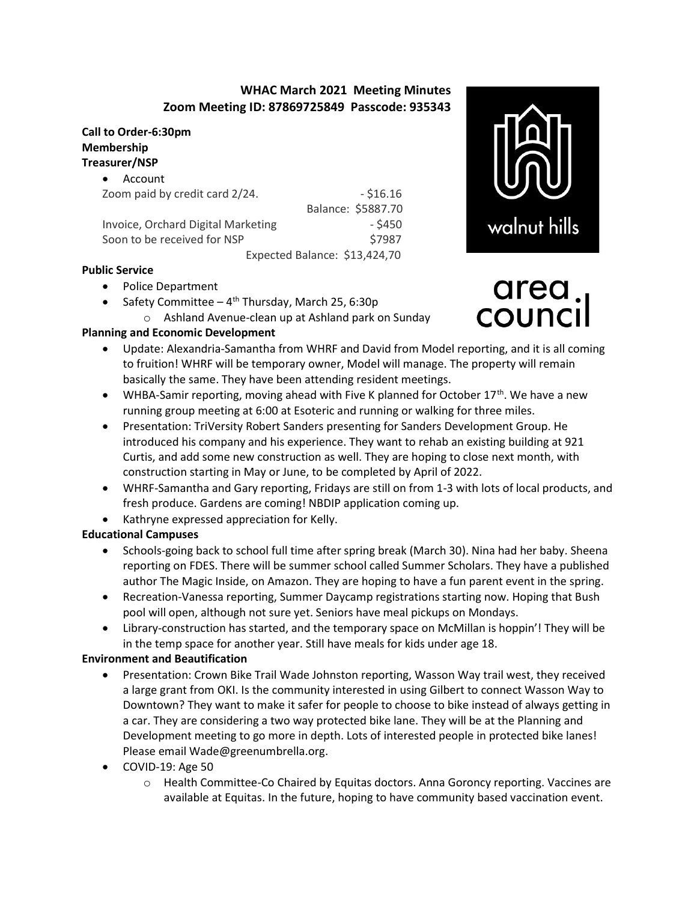# WHAC March 2021 Meeting Minutes Zoom Meeting ID: 87869725849 Passcode: 935343

### Call to Order-6:30pm Membership Treasurer/NSP

| $- $16.16$<br>Zoom paid by credit card 2/24.    |
|-------------------------------------------------|
| Balance: \$5887.70                              |
| $-$ \$450<br>Invoice, Orchard Digital Marketing |
| \$7987                                          |
| Expected Balance: \$13,424,70                   |
| Soon to be received for NSP                     |

#### Public Service

- Police Department
- Safety Committee  $4^{th}$  Thursday, March 25, 6:30p
	- o Ashland Avenue-clean up at Ashland park on Sunday

## Planning and Economic Development

- Update: Alexandria-Samantha from WHRF and David from Model reporting, and it is all coming to fruition! WHRF will be temporary owner, Model will manage. The property will remain basically the same. They have been attending resident meetings.
- WHBA-Samir reporting, moving ahead with Five K planned for October 17<sup>th</sup>. We have a new running group meeting at 6:00 at Esoteric and running or walking for three miles.
- Presentation: TriVersity Robert Sanders presenting for Sanders Development Group. He introduced his company and his experience. They want to rehab an existing building at 921 Curtis, and add some new construction as well. They are hoping to close next month, with construction starting in May or June, to be completed by April of 2022.
- WHRF-Samantha and Gary reporting, Fridays are still on from 1-3 with lots of local products, and fresh produce. Gardens are coming! NBDIP application coming up.
- Kathryne expressed appreciation for Kelly.

### Educational Campuses

- Schools-going back to school full time after spring break (March 30). Nina had her baby. Sheena reporting on FDES. There will be summer school called Summer Scholars. They have a published author The Magic Inside, on Amazon. They are hoping to have a fun parent event in the spring.
- Recreation-Vanessa reporting, Summer Daycamp registrations starting now. Hoping that Bush pool will open, although not sure yet. Seniors have meal pickups on Mondays.
- Library-construction has started, and the temporary space on McMillan is hoppin'! They will be in the temp space for another year. Still have meals for kids under age 18.

#### Environment and Beautification

- Presentation: Crown Bike Trail Wade Johnston reporting, Wasson Way trail west, they received a large grant from OKI. Is the community interested in using Gilbert to connect Wasson Way to Downtown? They want to make it safer for people to choose to bike instead of always getting in a car. They are considering a two way protected bike lane. They will be at the Planning and Development meeting to go more in depth. Lots of interested people in protected bike lanes! Please email Wade@greenumbrella.org.
- COVID-19: Age 50
	- o Health Committee-Co Chaired by Equitas doctors. Anna Goroncy reporting. Vaccines are available at Equitas. In the future, hoping to have community based vaccination event.



# area<br>counc